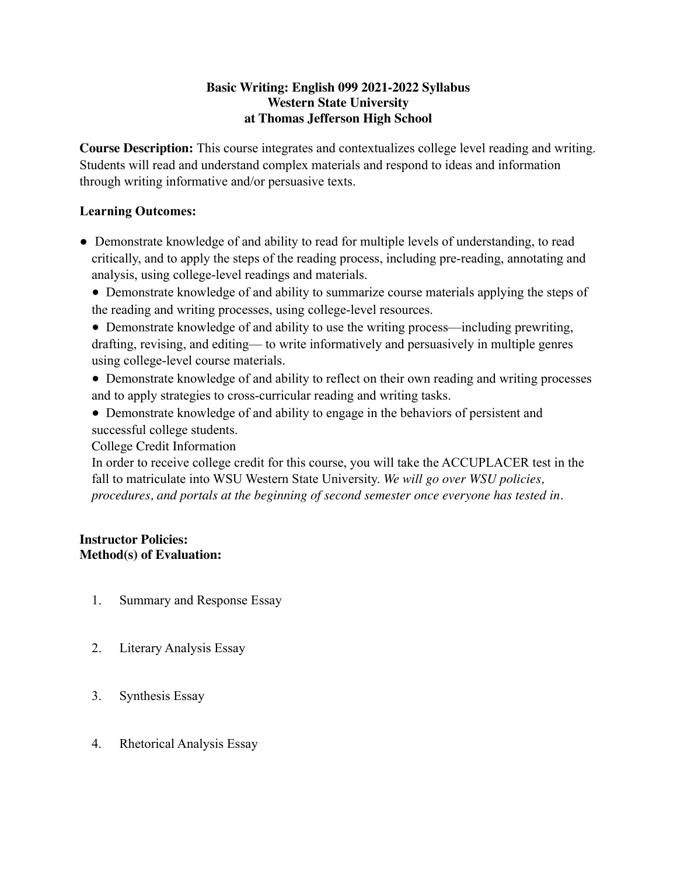# **Basic Writing: English 099 2021-2022 Syllabus Western State University at Thomas Jefferson High School**

**Course Description:** This course integrates and contextualizes college level reading and writing. Students will read and understand complex materials and respond to ideas and information through writing informative and/or persuasive texts.

# **Learning Outcomes:**

- Demonstrate knowledge of and ability to read for multiple levels of understanding, to read critically, and to apply the steps of the reading process, including pre-reading, annotating and analysis, using college-level readings and materials.
	- Demonstrate knowledge of and ability to summarize course materials applying the steps of the reading and writing processes, using college-level resources.
	- Demonstrate knowledge of and ability to use the writing process—including prewriting, drafting, revising, and editing— to write informatively and persuasively in multiple genres using college-level course materials.
	- Demonstrate knowledge of and ability to reflect on their own reading and writing processes and to apply strategies to cross-curricular reading and writing tasks.
	- Demonstrate knowledge of and ability to engage in the behaviors of persistent and successful college students.

College Credit Information

In order to receive college credit for this course, you will take the ACCUPLACER test in the fall to matriculate into WSU Western State University. *We will go over WSU policies, procedures, and portals at the beginning of second semester once everyone has tested in.*

### **Instructor Policies: Method(s) of Evaluation:**

- 1. Summary and Response Essay
- 2. Literary Analysis Essay
- 3. Synthesis Essay
- 4. Rhetorical Analysis Essay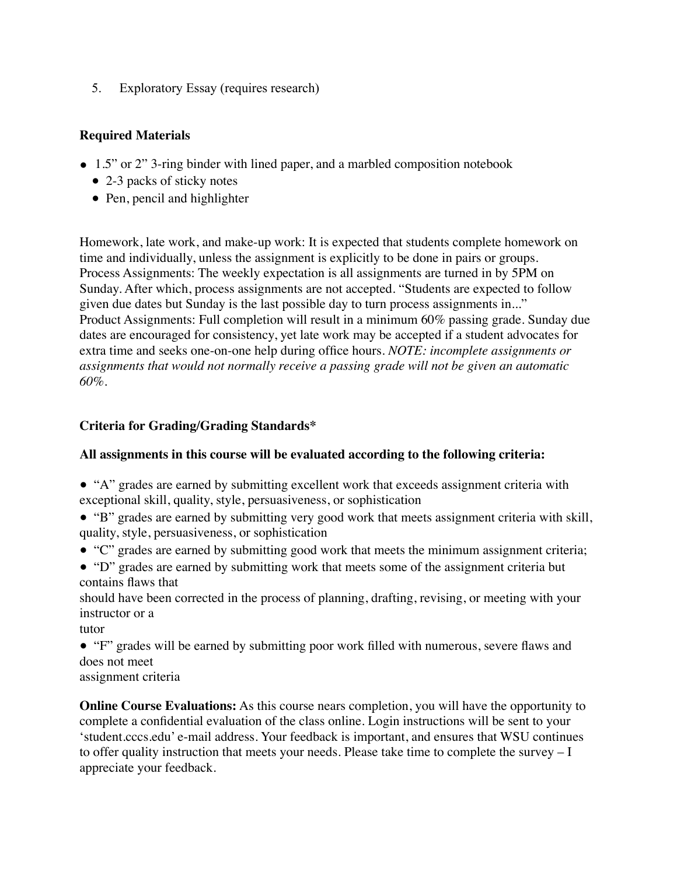5. Exploratory Essay (requires research)

# **Required Materials**

- **●** 1.5" or 2" 3-ring binder with lined paper, and a marbled composition notebook
	- 2-3 packs of sticky notes
	- Pen, pencil and highlighter

Homework, late work, and make-up work: It is expected that students complete homework on time and individually, unless the assignment is explicitly to be done in pairs or groups. Process Assignments: The weekly expectation is all assignments are turned in by 5PM on Sunday. After which, process assignments are not accepted. "Students are expected to follow given due dates but Sunday is the last possible day to turn process assignments in..." Product Assignments: Full completion will result in a minimum 60% passing grade. Sunday due dates are encouraged for consistency, yet late work may be accepted if a student advocates for extra time and seeks one-on-one help during office hours. *NOTE: incomplete assignments or assignments that would not normally receive a passing grade will not be given an automatic 60%.* 

# **Criteria for Grading/Grading Standards\***

# **All assignments in this course will be evaluated according to the following criteria:**

- "A" grades are earned by submitting excellent work that exceeds assignment criteria with exceptional skill, quality, style, persuasiveness, or sophistication
- "B" grades are earned by submitting very good work that meets assignment criteria with skill, quality, style, persuasiveness, or sophistication
- "C" grades are earned by submitting good work that meets the minimum assignment criteria;
- "D" grades are earned by submitting work that meets some of the assignment criteria but contains flaws that

should have been corrected in the process of planning, drafting, revising, or meeting with your instructor or a

tutor

- "F" grades will be earned by submitting poor work filled with numerous, severe flaws and does not meet
- assignment criteria

**Online Course Evaluations:** As this course nears completion, you will have the opportunity to complete a confidential evaluation of the class online. Login instructions will be sent to your 'student.cccs.edu' e-mail address. Your feedback is important, and ensures that WSU continues to offer quality instruction that meets your needs. Please take time to complete the survey  $-I$ appreciate your feedback.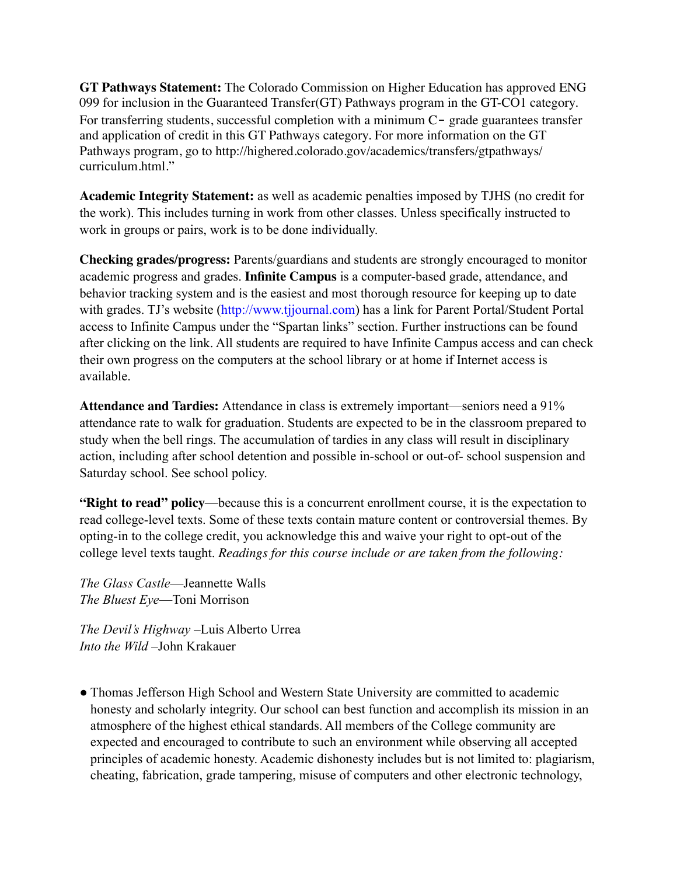**GT Pathways Statement:** The Colorado Commission on Higher Education has approved ENG 099 for inclusion in the Guaranteed Transfer(GT) Pathways program in the GT-CO1 category. For transferring students, successful completion with a minimum C- grade guarantees transfer and application of credit in this GT Pathways category. For more information on the GT Pathways program, go to http://highered.colorado.gov/academics/transfers/gtpathways/ curriculum.html."

**Academic Integrity Statement:** as well as academic penalties imposed by TJHS (no credit for the work). This includes turning in work from other classes. Unless specifically instructed to work in groups or pairs, work is to be done individually.

**Checking grades/progress:** Parents/guardians and students are strongly encouraged to monitor academic progress and grades. **Infinite Campus** is a computer-based grade, attendance, and behavior tracking system and is the easiest and most thorough resource for keeping up to date with grades. TJ's website (http://www.tjjournal.com) has a link for Parent Portal/Student Portal access to Infinite Campus under the "Spartan links" section. Further instructions can be found after clicking on the link. All students are required to have Infinite Campus access and can check their own progress on the computers at the school library or at home if Internet access is available.

**Attendance and Tardies:** Attendance in class is extremely important—seniors need a 91% attendance rate to walk for graduation. Students are expected to be in the classroom prepared to study when the bell rings. The accumulation of tardies in any class will result in disciplinary action, including after school detention and possible in-school or out-of- school suspension and Saturday school. See school policy.

**"Right to read" policy**—because this is a concurrent enrollment course, it is the expectation to read college-level texts. Some of these texts contain mature content or controversial themes. By opting-in to the college credit, you acknowledge this and waive your right to opt-out of the college level texts taught. *Readings for this course include or are taken from the following:*

*The Glass Castle*—Jeannette Walls *The Bluest Eye*—Toni Morrison

*The Devil's Highway* –Luis Alberto Urrea *Into the Wild* –John Krakauer

● Thomas Jefferson High School and Western State University are committed to academic honesty and scholarly integrity. Our school can best function and accomplish its mission in an atmosphere of the highest ethical standards. All members of the College community are expected and encouraged to contribute to such an environment while observing all accepted principles of academic honesty. Academic dishonesty includes but is not limited to: plagiarism, cheating, fabrication, grade tampering, misuse of computers and other electronic technology,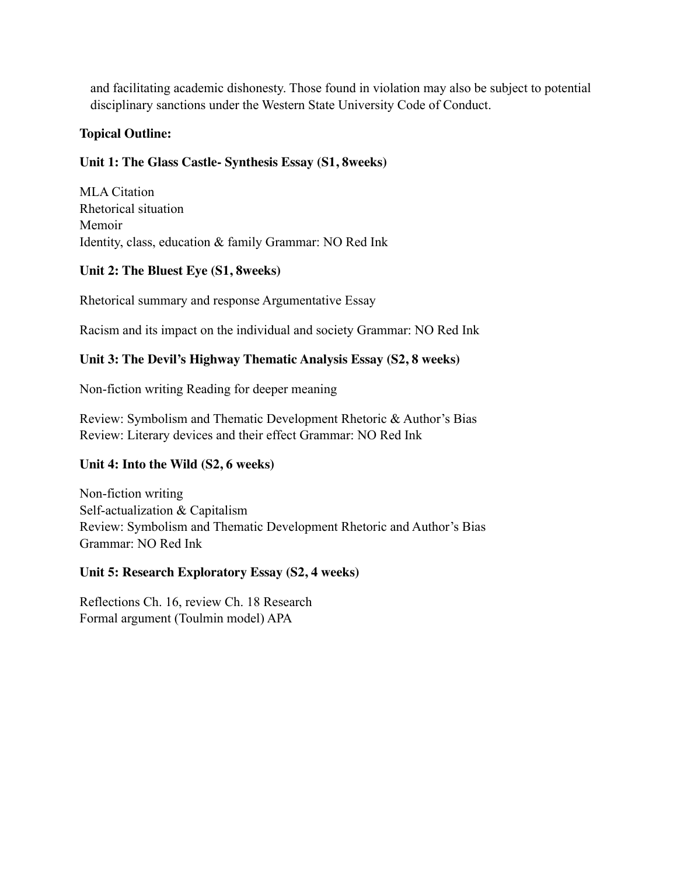and facilitating academic dishonesty. Those found in violation may also be subject to potential disciplinary sanctions under the Western State University Code of Conduct.

## **Topical Outline:**

# **Unit 1: The Glass Castle- Synthesis Essay (S1, 8weeks)**

MLA Citation Rhetorical situation Memoir Identity, class, education & family Grammar: NO Red Ink

### **Unit 2: The Bluest Eye (S1, 8weeks)**

Rhetorical summary and response Argumentative Essay

Racism and its impact on the individual and society Grammar: NO Red Ink

### **Unit 3: The Devil's Highway Thematic Analysis Essay (S2, 8 weeks)**

Non-fiction writing Reading for deeper meaning

Review: Symbolism and Thematic Development Rhetoric & Author's Bias Review: Literary devices and their effect Grammar: NO Red Ink

# **Unit 4: Into the Wild (S2, 6 weeks)**

Non-fiction writing Self-actualization & Capitalism Review: Symbolism and Thematic Development Rhetoric and Author's Bias Grammar: NO Red Ink

#### **Unit 5: Research Exploratory Essay (S2, 4 weeks)**

Reflections Ch. 16, review Ch. 18 Research Formal argument (Toulmin model) APA